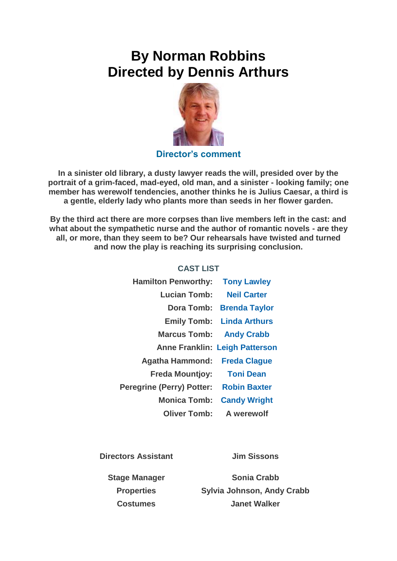## **By Norman Robbins Directed by Dennis Arthurs**



## **Director's comment**

**In a sinister old library, a dusty lawyer reads the will, presided over by the portrait of a grim-faced, mad-eyed, old man, and a sinister - looking family; one member has werewolf tendencies, another thinks he is Julius Caesar, a third is a gentle, elderly lady who plants more than seeds in her flower garden.**

**By the third act there are more corpses than live members left in the cast: and what about the sympathetic nurse and the author of romantic novels - are they all, or more, than they seem to be? Our rehearsals have twisted and turned and now the play is reaching its surprising conclusion.**

|                                       | <b>Hamilton Penworthy: Tony Lawley</b> |
|---------------------------------------|----------------------------------------|
| <b>Neil Carter</b>                    | <b>Lucian Tomb:</b>                    |
| Dora Tomb: Brenda Taylor              |                                        |
| <b>Emily Tomb: Linda Arthurs</b>      |                                        |
| <b>Marcus Tomb: Andy Crabb</b>        |                                        |
| <b>Anne Franklin: Leigh Patterson</b> |                                        |
|                                       | Agatha Hammond: Freda Clague           |
| <b>Toni Dean</b>                      | <b>Freda Mountjoy:</b>                 |
|                                       | Peregrine (Perry) Potter: Robin Baxter |
| <b>Candy Wright</b>                   | <b>Monica Tomb:</b>                    |
| Oliver Tomb: A werewolf               |                                        |

**CAST LIST**

**Directors Assistant Jim Sissons**

**Stage Manager Sonia Crabb Properties Sylvia Johnson, Andy Crabb Costumes Janet Walker**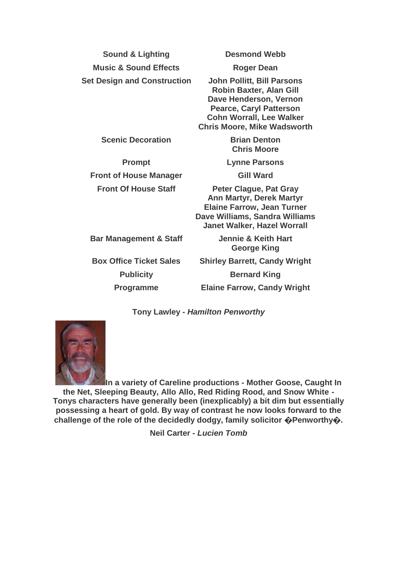**Sound & Lighting Desmond Webb Music & Sound Effects Roger Dean Set Design and Construction John Pollitt, Bill Parsons**

**Robin Baxter, Alan Gill Dave Henderson, Vernon Pearce, Caryl Patterson Cohn Worrall, Lee Walker Chris Moore, Mike Wadsworth**

**Scenic Decoration Brian Denton** 

**Prompt Lynne Parsons Front of House Manager Gill Ward** 

**Chris Moore**

**Front Of House Staff Peter Clague, Pat Gray Ann Martyr, Derek Martyr Elaine Farrow, Jean Turner Dave Williams, Sandra Williams Janet Walker, Hazel Worrall**

**Bar Management & Staff Jennie & Keith Hart George King Box Office Ticket Sales Shirley Barrett, Candy Wright Publicity Bernard King Programme Elaine Farrow, Candy Wright**

**Tony Lawley -** *Hamilton Penworthy*



**In a variety of Careline productions - Mother Goose, Caught In the Net, Sleeping Beauty, Allo Allo, Red Riding Rood, and Snow White - Tonys characters have generally been (inexplicably) a bit dim but essentially possessing a heart of gold. By way of contrast he now looks forward to the challenge of the role of the decidedly dodgy, family solicitor �Penworthy�.**

**Neil Carter -** *Lucien Tomb*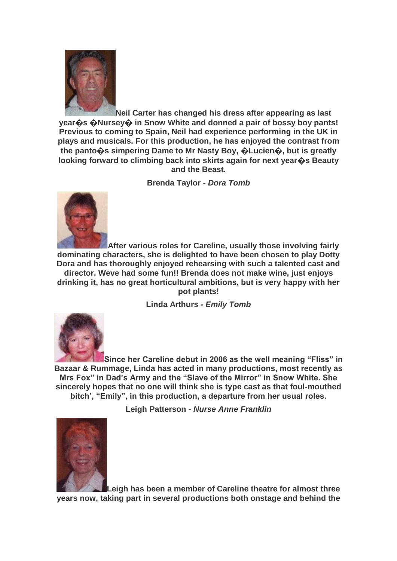

**Neil Carter has changed his dress after appearing as last year�s �Nursey� in Snow White and donned a pair of bossy boy pants! Previous to coming to Spain, Neil had experience performing in the UK in plays and musicals. For this production, he has enjoyed the contrast from the panto�s simpering Dame to Mr Nasty Boy, �Lucien�, but is greatly looking forward to climbing back into skirts again for next year�s Beauty and the Beast.**

**Brenda Taylor -** *Dora Tomb*



**After various roles for Careline, usually those involving fairly dominating characters, she is delighted to have been chosen to play Dotty Dora and has thoroughly enjoyed rehearsing with such a talented cast and** 

**director. Weve had some fun!! Brenda does not make wine, just enjoys drinking it, has no great horticultural ambitions, but is very happy with her pot plants!**

**Linda Arthurs -** *Emily Tomb*



**Since her Careline debut in 2006 as the well meaning "Fliss" in Bazaar & Rummage, Linda has acted in many productions, most recently as Mrs Fox" in Dad's Army and the "Slave of the Mirror" in Snow White. She sincerely hopes that no one will think she is type cast as that foul-mouthed bitch', "Emily", in this production, a departure from her usual roles.**

**Leigh Patterson -** *Nurse Anne Franklin*



**Leigh has been a member of Careline theatre for almost three years now, taking part in several productions both onstage and behind the**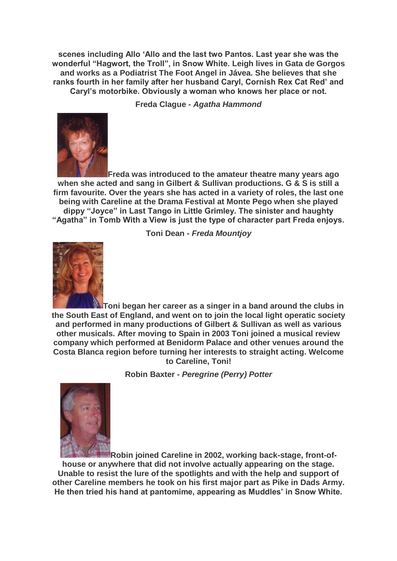**scenes including Allo 'Allo and the last two Pantos. Last year she was the wonderful "Hagwort, the Troll", in Snow White. Leigh lives in Gata de Gorgos and works as a Podiatrist The Foot Angel in Jávea. She believes that she ranks fourth in her family after her husband Caryl, Cornish Rex Cat Red' and Caryl's motorbike. Obviously a woman who knows her place or not.**

**Freda Clague -** *Agatha Hammond*



**Freda was introduced to the amateur theatre many years ago when she acted and sang in Gilbert & Sullivan productions. G & S is still a firm favourite. Over the years she has acted in a variety of roles, the last one being with Careline at the Drama Festival at Monte Pego when she played dippy "Joyce" in Last Tango in Little Grimley. The sinister and haughty "Agatha" in Tomb With a View is just the type of character part Freda enjoys.**



**Toni Dean -** *Freda Mountjoy*

**Toni began her career as a singer in a band around the clubs in the South East of England, and went on to join the local light operatic society and performed in many productions of Gilbert & Sullivan as well as various other musicals. After moving to Spain in 2003 Toni joined a musical review company which performed at Benidorm Palace and other venues around the Costa Blanca region before turning her interests to straight acting. Welcome to Careline, Toni!**

**Robin Baxter -** *Peregrine (Perry) Potter*



**Robin joined Careline in 2002, working back-stage, front-ofhouse or anywhere that did not involve actually appearing on the stage. Unable to resist the lure of the spotlights and with the help and support of other Careline members he took on his first major part as Pike in Dads Army. He then tried his hand at pantomime, appearing as Muddles' in Snow White.**